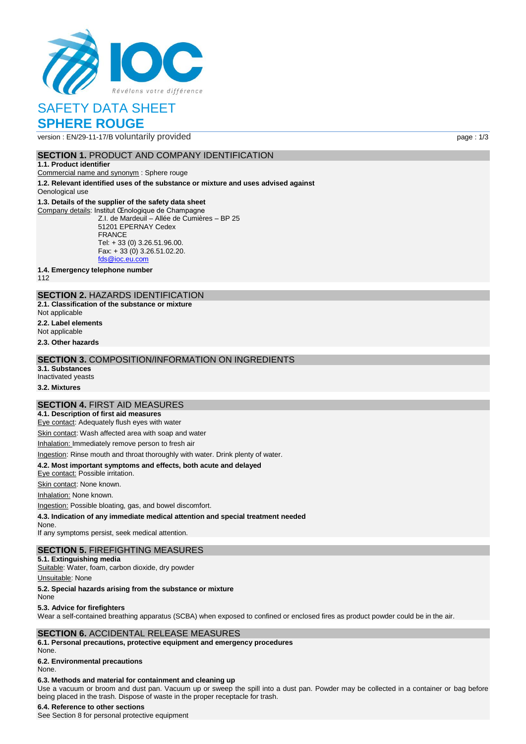

# SAFETY DATA SHEET **SPHERE ROUGE**

version : EN/29-11-17/B voluntarily provided page : 1/3

## **SECTION 1. PRODUCT AND COMPANY IDENTIFICATION**

#### **1.1. Product identifier**

Commercial name and synonym : Sphere rouge

**1.2. Relevant identified uses of the substance or mixture and uses advised against** Oenological use

### **1.3. Details of the supplier of the safety data sheet**

Company details: Institut Œnologique de Champagne Z.I. de Mardeuil – Allée de Cumières – BP 25 51201 EPERNAY Cedex FRANCE Tel: + 33 (0) 3.26.51.96.00. Fax: + 33 (0) 3.26.51.02.20. [fds@ioc.eu.com](mailto:fds@ioc.eu.com)

**1.4. Emergency telephone number**

112

## **SECTION 2.** HAZARDS IDENTIFICATION

**2.1. Classification of the substance or mixture**

Not applicable

**2.2. Label elements**

Not applicable

**2.3. Other hazards**

## **SECTION 3.** COMPOSITION/INFORMATION ON INGREDIENTS

**3.1. Substances** Inactivated yeasts

**3.2. Mixtures**

### **SECTION 4.** FIRST AID MEASURES

**4.1. Description of first aid measures** Eye contact: Adequately flush eyes with water

Skin contact: Wash affected area with soap and water

Inhalation: Immediately remove person to fresh air

Ingestion: Rinse mouth and throat thoroughly with water. Drink plenty of water.

### **4.2. Most important symptoms and effects, both acute and delayed**

Eye contact: Possible irritation.

Skin contact: None known.

Inhalation: None known.

Ingestion: Possible bloating, gas, and bowel discomfort.

**4.3. Indication of any immediate medical attention and special treatment needed**

None.

If any symptoms persist, seek medical attention.

# **SECTION 5.** FIREFIGHTING MEASURES

**5.1. Extinguishing media** Suitable: Water, foam, carbon dioxide, dry powder

Unsuitable: None

**5.2. Special hazards arising from the substance or mixture**

### None

**5.3. Advice for firefighters**

Wear a self-contained breathing apparatus (SCBA) when exposed to confined or enclosed fires as product powder could be in the air.

## **SECTION 6.** ACCIDENTAL RELEASE MEASURES

**6.1. Personal precautions, protective equipment and emergency procedures** None.

## **6.2. Environmental precautions**

None.

## **6.3. Methods and material for containment and cleaning up**

Use a vacuum or broom and dust pan. Vacuum up or sweep the spill into a dust pan. Powder may be collected in a container or bag before being placed in the trash. Dispose of waste in the proper receptacle for trash.

### **6.4. Reference to other sections**

See Section 8 for personal protective equipment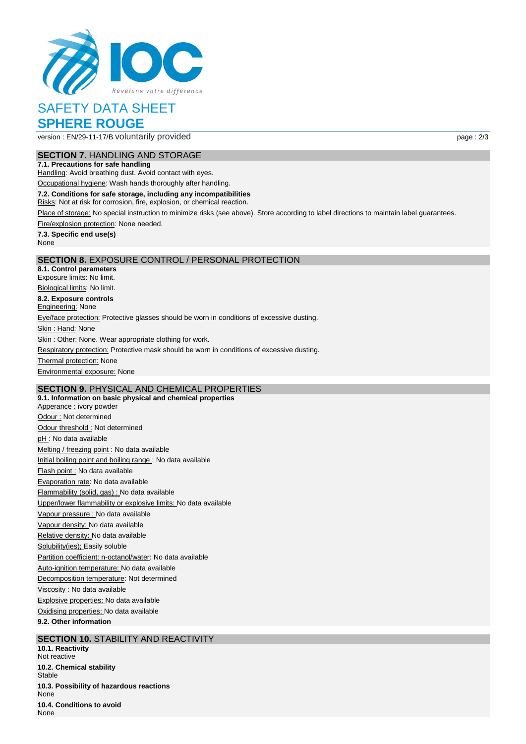

# SAFETY DATA SHEET **SPHERE ROUGE**

version : EN/29-11-17/B voluntarily provided page : 2/3

# **SECTION 7.** HANDLING AND STORAGE

**7.1. Precautions for safe handling** Handling: Avoid breathing dust. Avoid contact with eyes.

Occupational hygiene: Wash hands thoroughly after handling.

**7.2. Conditions for safe storage, including any incompatibilities**

Risks: Not at risk for corrosion, fire, explosion, or chemical reaction.

Place of storage: No special instruction to minimize risks (see above). Store according to label directions to maintain label guarantees.

Fire/explosion protection: None needed.

**7.3. Specific end use(s)** None

## **SECTION 8.** EXPOSURE CONTROL / PERSONAL PROTECTION

**8.1. Control parameters** Exposure limits: No limit. Biological limits: No limit. **8.2. Exposure controls Engineering: None** Eye/face protection: Protective glasses should be worn in conditions of excessive dusting. Skin: Hand: None Skin : Other: None. Wear appropriate clothing for work. Respiratory protection: Protective mask should be worn in conditions of excessive dusting. **Thermal protection: None** Environmental exposure: None

# **SECTION 9.** PHYSICAL AND CHEMICAL PROPERTIES

**9.1. Information on basic physical and chemical properties** Apperance : ivory powder Odour : Not determined Odour threshold : Not determined pH : No data available Melting / freezing point : No data available Initial boiling point and boiling range : No data available Flash point : No data available Evaporation rate: No data available Flammability (solid, gas) : No data available Upper/lower flammability or explosive limits: No data available Vapour pressure : No data available Vapour density: No data available Relative density: No data available Solubility(ies); Easily soluble Partition coefficient: n-octanol/water: No data available Auto-ignition temperature: No data available Decomposition temperature: Not determined Viscosity : No data available Explosive properties: No data available Oxidising properties: No data available **9.2. Other information**

## **SECTION 10.** STABILITY AND REACTIVITY

**10.1. Reactivity** Not reactive **10.2. Chemical stability Stable 10.3. Possibility of hazardous reactions** None **10.4. Conditions to avoid** None